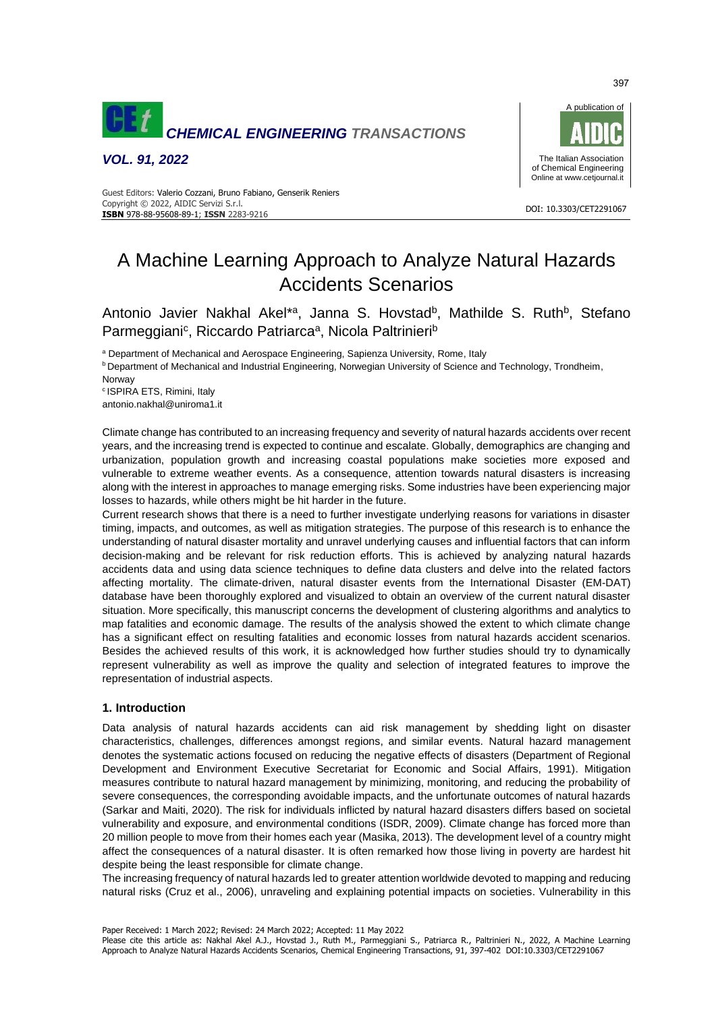

*VOL. 91, 2022*



#### DOI: 10.3303/CET2291067 **ISBN** 978-88-95608-89-1; **ISSN** 2283-9216 Guest Editors: Valerio Cozzani, Bruno Fabiano, Genserik Reniers Copyright © 2022, AIDIC Servizi S.r.l.

# A Machine Learning Approach to Analyze Natural Hazards Accidents Scenarios

Antonio Javier Nakhal Akel<sup>\*a</sup>, Janna S. Hovstad<sup>b</sup>, Mathilde S. Ruth<sup>b</sup>, Stefano Parmeggiani<sup>c</sup>, Riccardo Patriarca<sup>a</sup>, Nicola Paltrinieri<sup>b</sup>

a Department of Mechanical and Aerospace Engineering, Sapienza University, Rome, Italy

**b Department of Mechanical and Industrial Engineering, Norwegian University of Science and Technology, Trondheim,** 

Norway

<sup>c</sup>ISPIRA ETS, Rimini, Italy antonio.nakhal@uniroma1.it

Climate change has contributed to an increasing frequency and severity of natural hazards accidents over recent years, and the increasing trend is expected to continue and escalate. Globally, demographics are changing and urbanization, population growth and increasing coastal populations make societies more exposed and vulnerable to extreme weather events. As a consequence, attention towards natural disasters is increasing along with the interest in approaches to manage emerging risks. Some industries have been experiencing major losses to hazards, while others might be hit harder in the future.

Current research shows that there is a need to further investigate underlying reasons for variations in disaster timing, impacts, and outcomes, as well as mitigation strategies. The purpose of this research is to enhance the understanding of natural disaster mortality and unravel underlying causes and influential factors that can inform decision-making and be relevant for risk reduction efforts. This is achieved by analyzing natural hazards accidents data and using data science techniques to define data clusters and delve into the related factors affecting mortality. The climate-driven, natural disaster events from the International Disaster (EM-DAT) database have been thoroughly explored and visualized to obtain an overview of the current natural disaster situation. More specifically, this manuscript concerns the development of clustering algorithms and analytics to map fatalities and economic damage. The results of the analysis showed the extent to which climate change has a significant effect on resulting fatalities and economic losses from natural hazards accident scenarios. Besides the achieved results of this work, it is acknowledged how further studies should try to dynamically represent vulnerability as well as improve the quality and selection of integrated features to improve the representation of industrial aspects.

## **1. Introduction**

Data analysis of natural hazards accidents can aid risk management by shedding light on disaster characteristics, challenges, differences amongst regions, and similar events. Natural hazard management denotes the systematic actions focused on reducing the negative effects of disasters (Department of Regional Development and Environment Executive Secretariat for Economic and Social Affairs, 1991). Mitigation measures contribute to natural hazard management by minimizing, monitoring, and reducing the probability of severe consequences, the corresponding avoidable impacts, and the unfortunate outcomes of natural hazards (Sarkar and Maiti, 2020). The risk for individuals inflicted by natural hazard disasters differs based on societal vulnerability and exposure, and environmental conditions (ISDR, 2009). Climate change has forced more than 20 million people to move from their homes each year (Masika, 2013). The development level of a country might affect the consequences of a natural disaster. It is often remarked how those living in poverty are hardest hit despite being the least responsible for climate change.

The increasing frequency of natural hazards led to greater attention worldwide devoted to mapping and reducing natural risks (Cruz et al., 2006), unraveling and explaining potential impacts on societies. Vulnerability in this

Paper Received: 1 March 2022; Revised: 24 March 2022; Accepted: 11 May 2022

Please cite this article as: Nakhal Akel A.J., Hovstad J., Ruth M., Parmeggiani S., Patriarca R., Paltrinieri N., 2022, A Machine Learning Approach to Analyze Natural Hazards Accidents Scenarios, Chemical Engineering Transactions, 91, 397-402 DOI:10.3303/CET2291067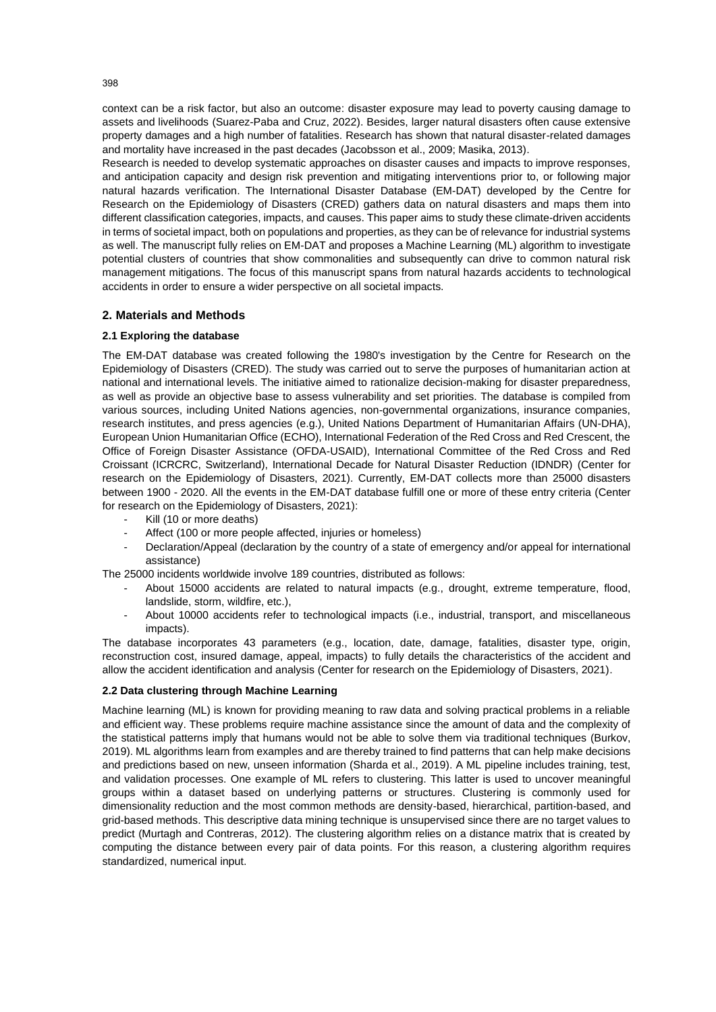context can be a risk factor, but also an outcome: disaster exposure may lead to poverty causing damage to assets and livelihoods (Suarez-Paba and Cruz, 2022). Besides, larger natural disasters often cause extensive property damages and a high number of fatalities. Research has shown that natural disaster-related damages and mortality have increased in the past decades (Jacobsson et al., 2009; Masika, 2013).

Research is needed to develop systematic approaches on disaster causes and impacts to improve responses, and anticipation capacity and design risk prevention and mitigating interventions prior to, or following major natural hazards verification. The International Disaster Database (EM-DAT) developed by the Centre for Research on the Epidemiology of Disasters (CRED) gathers data on natural disasters and maps them into different classification categories, impacts, and causes. This paper aims to study these climate-driven accidents in terms of societal impact, both on populations and properties, as they can be of relevance for industrial systems as well. The manuscript fully relies on EM-DAT and proposes a Machine Learning (ML) algorithm to investigate potential clusters of countries that show commonalities and subsequently can drive to common natural risk management mitigations. The focus of this manuscript spans from natural hazards accidents to technological accidents in order to ensure a wider perspective on all societal impacts.

# **2. Materials and Methods**

## **2.1 Exploring the database**

The EM-DAT database was created following the 1980's investigation by the Centre for Research on the Epidemiology of Disasters (CRED). The study was carried out to serve the purposes of humanitarian action at national and international levels. The initiative aimed to rationalize decision-making for disaster preparedness, as well as provide an objective base to assess vulnerability and set priorities. The database is compiled from various sources, including United Nations agencies, non-governmental organizations, insurance companies, research institutes, and press agencies (e.g.), United Nations Department of Humanitarian Affairs (UN-DHA), European Union Humanitarian Office (ECHO), International Federation of the Red Cross and Red Crescent, the Office of Foreign Disaster Assistance (OFDA-USAID), International Committee of the Red Cross and Red Croissant (ICRCRC, Switzerland), International Decade for Natural Disaster Reduction (IDNDR) (Center for research on the Epidemiology of Disasters, 2021). Currently, EM-DAT collects more than 25000 disasters between 1900 - 2020. All the events in the EM-DAT database fulfill one or more of these entry criteria (Center for research on the Epidemiology of Disasters, 2021):

- Kill (10 or more deaths)
- Affect (100 or more people affected, injuries or homeless)
- Declaration/Appeal (declaration by the country of a state of emergency and/or appeal for international assistance)

The 25000 incidents worldwide involve 189 countries, distributed as follows:

- About 15000 accidents are related to natural impacts (e.g., drought, extreme temperature, flood, landslide, storm, wildfire, etc.),
- About 10000 accidents refer to technological impacts (i.e., industrial, transport, and miscellaneous impacts).

The database incorporates 43 parameters (e.g., location, date, damage, fatalities, disaster type, origin, reconstruction cost, insured damage, appeal, impacts) to fully details the characteristics of the accident and allow the accident identification and analysis (Center for research on the Epidemiology of Disasters, 2021).

### **2.2 Data clustering through Machine Learning**

Machine learning (ML) is known for providing meaning to raw data and solving practical problems in a reliable and efficient way. These problems require machine assistance since the amount of data and the complexity of the statistical patterns imply that humans would not be able to solve them via traditional techniques (Burkov, 2019). ML algorithms learn from examples and are thereby trained to find patterns that can help make decisions and predictions based on new, unseen information (Sharda et al., 2019). A ML pipeline includes training, test, and validation processes. One example of ML refers to clustering. This latter is used to uncover meaningful groups within a dataset based on underlying patterns or structures. Clustering is commonly used for dimensionality reduction and the most common methods are density-based, hierarchical, partition-based, and grid-based methods. This descriptive data mining technique is unsupervised since there are no target values to predict (Murtagh and Contreras, 2012). The clustering algorithm relies on a distance matrix that is created by computing the distance between every pair of data points. For this reason, a clustering algorithm requires standardized, numerical input.

398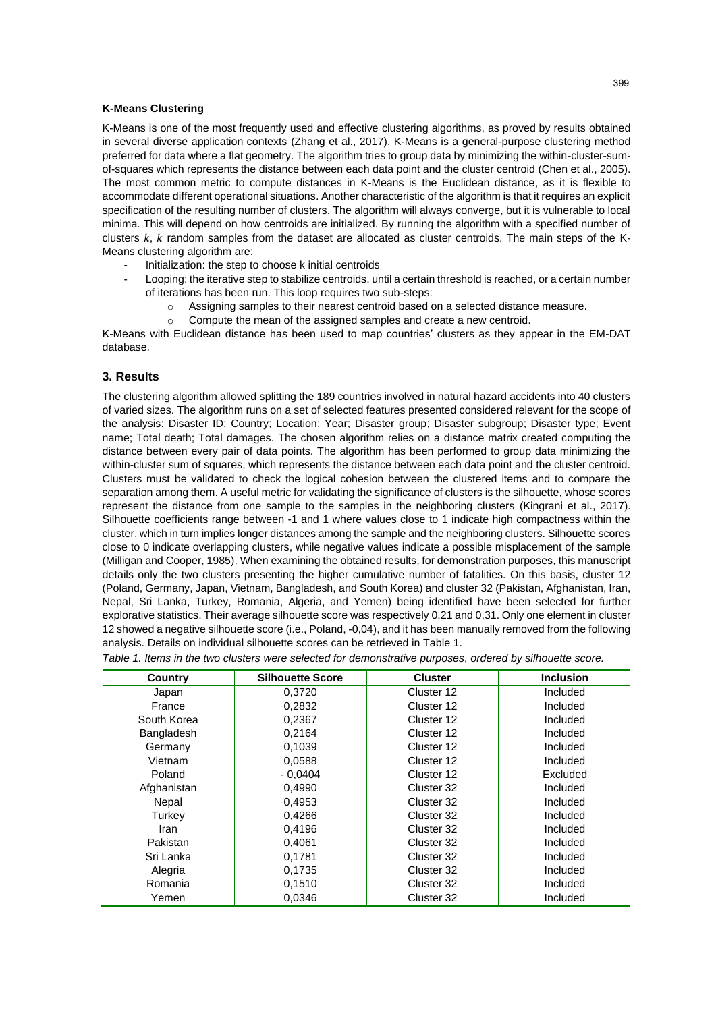### **K-Means Clustering**

K-Means is one of the most frequently used and effective clustering algorithms, as proved by results obtained in several diverse application contexts (Zhang et al., 2017). K-Means is a general-purpose clustering method preferred for data where a flat geometry. The algorithm tries to group data by minimizing the within-cluster-sumof-squares which represents the distance between each data point and the cluster centroid (Chen et al., 2005). The most common metric to compute distances in K-Means is the Euclidean distance, as it is flexible to accommodate different operational situations. Another characteristic of the algorithm is that it requires an explicit specification of the resulting number of clusters. The algorithm will always converge, but it is vulnerable to local minima. This will depend on how centroids are initialized. By running the algorithm with a specified number of clusters  $k$ ,  $k$  random samples from the dataset are allocated as cluster centroids. The main steps of the K-Means clustering algorithm are:

- Initialization: the step to choose k initial centroids
- Looping: the iterative step to stabilize centroids, until a certain threshold is reached, or a certain number of iterations has been run. This loop requires two sub-steps:
	- o Assigning samples to their nearest centroid based on a selected distance measure.
	- o Compute the mean of the assigned samples and create a new centroid.

K-Means with Euclidean distance has been used to map countries' clusters as they appear in the EM-DAT database.

## **3. Results**

The clustering algorithm allowed splitting the 189 countries involved in natural hazard accidents into 40 clusters of varied sizes. The algorithm runs on a set of selected features presented considered relevant for the scope of the analysis: Disaster ID; Country; Location; Year; Disaster group; Disaster subgroup; Disaster type; Event name; Total death; Total damages. The chosen algorithm relies on a distance matrix created computing the distance between every pair of data points. The algorithm has been performed to group data minimizing the within-cluster sum of squares, which represents the distance between each data point and the cluster centroid. Clusters must be validated to check the logical cohesion between the clustered items and to compare the separation among them. A useful metric for validating the significance of clusters is the silhouette, whose scores represent the distance from one sample to the samples in the neighboring clusters (Kingrani et al., 2017). Silhouette coefficients range between -1 and 1 where values close to 1 indicate high compactness within the cluster, which in turn implies longer distances among the sample and the neighboring clusters. Silhouette scores close to 0 indicate overlapping clusters, while negative values indicate a possible misplacement of the sample (Milligan and Cooper, 1985). When examining the obtained results, for demonstration purposes, this manuscript details only the two clusters presenting the higher cumulative number of fatalities. On this basis, cluster 12 (Poland, Germany, Japan, Vietnam, Bangladesh, and South Korea) and cluster 32 (Pakistan, Afghanistan, Iran, Nepal, Sri Lanka, Turkey, Romania, Algeria, and Yemen) being identified have been selected for further explorative statistics. Their average silhouette score was respectively 0,21 and 0,31. Only one element in cluster 12 showed a negative silhouette score (i.e., Poland, -0,04), and it has been manually removed from the following analysis. Details on individual silhouette scores can be retrieved i[n Table 1.](#page-2-0)

<span id="page-2-0"></span>*Table 1. Items in the two clusters were selected for demonstrative purposes, ordered by silhouette score.*

| Country     | <b>Silhouette Score</b> | <b>Cluster</b> | <b>Inclusion</b> |  |
|-------------|-------------------------|----------------|------------------|--|
| Japan       | 0,3720                  | Cluster 12     | Included         |  |
| France      | 0,2832                  | Cluster 12     | Included         |  |
| South Korea | 0,2367                  | Cluster 12     | Included         |  |
| Bangladesh  | 0,2164                  | Cluster 12     | Included         |  |
| Germany     | 0,1039                  | Cluster 12     | Included         |  |
| Vietnam     | 0.0588                  | Cluster 12     | Included         |  |
| Poland      | $-0.0404$               | Cluster 12     | Excluded         |  |
| Afghanistan | 0,4990                  | Cluster 32     | Included         |  |
| Nepal       | 0,4953                  | Cluster 32     | Included         |  |
| Turkey      | 0,4266                  | Cluster 32     | Included         |  |
| Iran        | 0,4196                  | Cluster 32     | Included         |  |
| Pakistan    | 0,4061                  | Cluster 32     | Included         |  |
| Sri Lanka   | 0,1781                  | Cluster 32     | Included         |  |
| Alegria     | 0.1735                  | Cluster 32     | Included         |  |
| Romania     | 0,1510                  | Cluster 32     | Included         |  |
| Yemen       | 0,0346                  | Cluster 32     | Included         |  |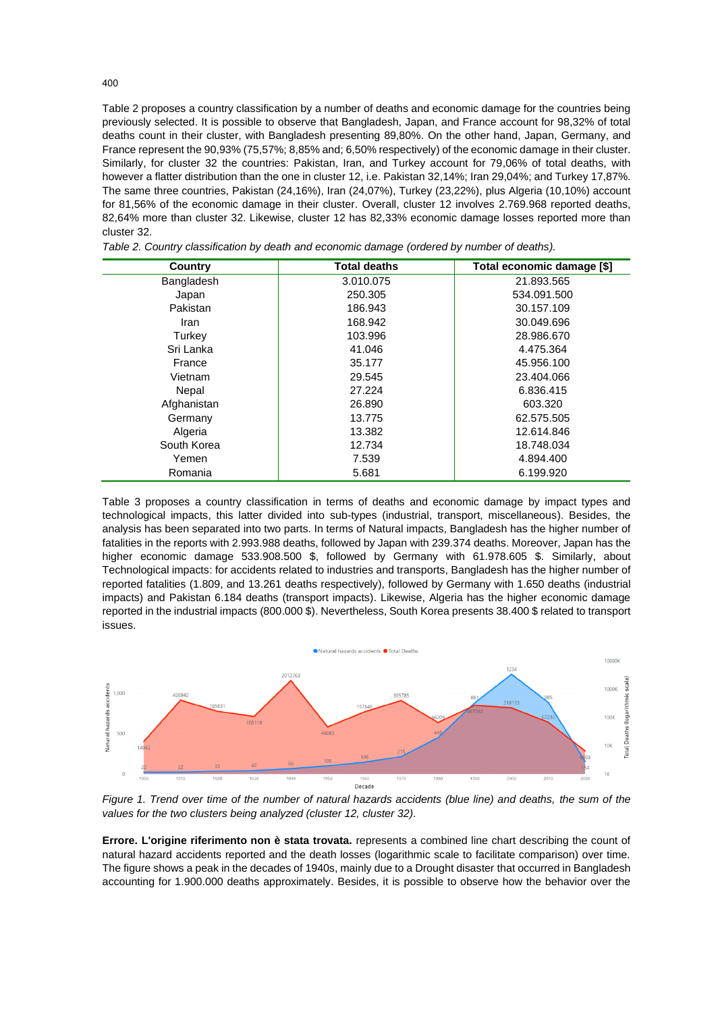[Table 2](#page-3-0) proposes a country classification by a number of deaths and economic damage for the countries being previously selected. It is possible to observe that Bangladesh, Japan, and France account for 98,32% of total deaths count in their cluster, with Bangladesh presenting 89,80%. On the other hand, Japan, Germany, and France represent the 90,93% (75,57%; 8,85% and; 6,50% respectively) of the economic damage in their cluster. Similarly, for cluster 32 the countries: Pakistan, Iran, and Turkey account for 79,06% of total deaths, with however a flatter distribution than the one in cluster 12, i.e. Pakistan 32,14%; Iran 29,04%; and Turkey 17,87%. The same three countries, Pakistan (24,16%), Iran (24,07%), Turkey (23,22%), plus Algeria (10,10%) account for 81,56% of the economic damage in their cluster. Overall, cluster 12 involves 2.769.968 reported deaths, 82,64% more than cluster 32. Likewise, cluster 12 has 82,33% economic damage losses reported more than cluster 32.

| Country     | <b>Total deaths</b> | Total economic damage [\$] |  |  |
|-------------|---------------------|----------------------------|--|--|
| Bangladesh  | 3.010.075           | 21.893.565                 |  |  |
| Japan       | 250.305             | 534.091.500                |  |  |
| Pakistan    | 186.943             | 30.157.109                 |  |  |
| Iran        | 168.942             | 30.049.696                 |  |  |
| Turkey      | 103.996             | 28.986.670                 |  |  |
| Sri Lanka   | 41.046              | 4.475.364                  |  |  |
| France      | 35.177              | 45.956.100                 |  |  |
| Vietnam     | 29.545              | 23.404.066                 |  |  |
| Nepal       | 27.224              | 6.836.415                  |  |  |
| Afghanistan | 26,890              | 603.320                    |  |  |
| Germany     | 13.775              | 62.575.505                 |  |  |
| Algeria     | 13.382              | 12.614.846                 |  |  |
| South Korea | 12.734              | 18.748.034                 |  |  |
| Yemen       | 7.539               | 4.894.400                  |  |  |
| Romania     | 5.681               | 6.199.920                  |  |  |

<span id="page-3-0"></span>*Table 2. Country classification by death and economic damage (ordered by number of deaths).*

[Table 3](#page-4-0) proposes a country classification in terms of deaths and economic damage by impact types and technological impacts, this latter divided into sub-types (industrial, transport, miscellaneous). Besides, the analysis has been separated into two parts. In terms of Natural impacts, Bangladesh has the higher number of fatalities in the reports with 2.993.988 deaths, followed by Japan with 239.374 deaths. Moreover, Japan has the higher economic damage 533.908.500 \$, followed by Germany with 61.978.605 \$. Similarly, about Technological impacts: for accidents related to industries and transports, Bangladesh has the higher number of reported fatalities (1.809, and 13.261 deaths respectively), followed by Germany with 1.650 deaths (industrial impacts) and Pakistan 6.184 deaths (transport impacts). Likewise, Algeria has the higher economic damage reported in the industrial impacts (800.000 \$). Nevertheless, South Korea presents 38.400 \$ related to transport issues.



*Figure 1. Trend over time of the number of natural hazards accidents (blue line) and deaths, the sum of the values for the two clusters being analyzed (cluster 12, cluster 32).*

**Errore. L'origine riferimento non è stata trovata.** represents a combined line chart describing the count of natural hazard accidents reported and the death losses (logarithmic scale to facilitate comparison) over time. The figure shows a peak in the decades of 1940s, mainly due to a Drought disaster that occurred in Bangladesh accounting for 1.900.000 deaths approximately. Besides, it is possible to observe how the behavior over the

400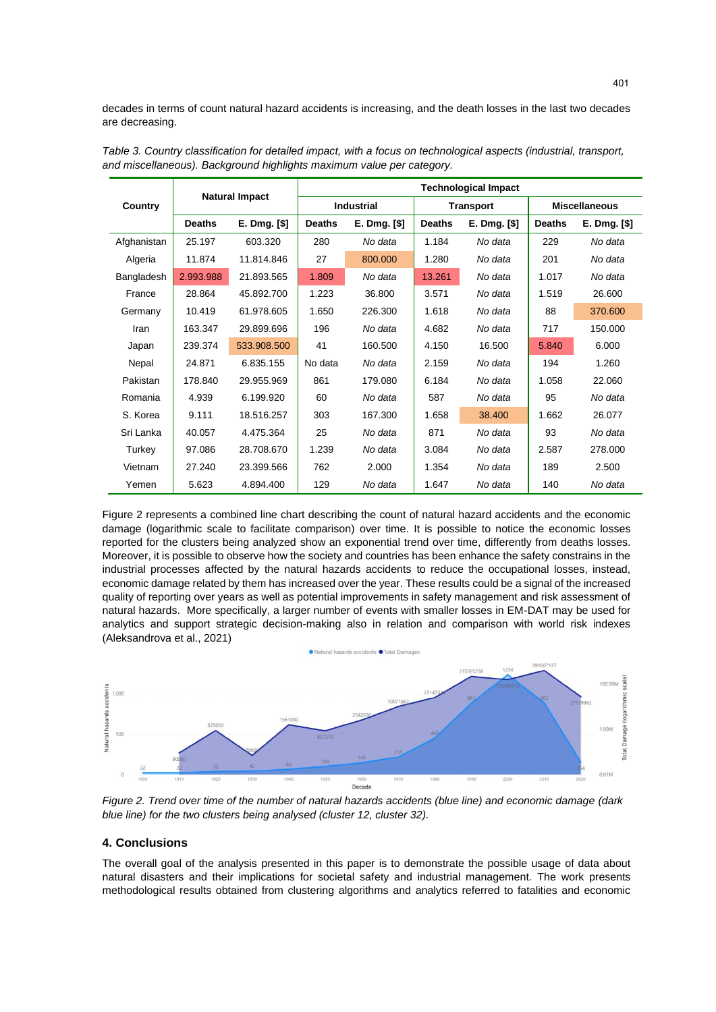decades in terms of count natural hazard accidents is increasing, and the death losses in the last two decades are decreasing.

| Country     | <b>Natural Impact</b> |              | <b>Technological Impact</b> |              |                  |              |                      |              |
|-------------|-----------------------|--------------|-----------------------------|--------------|------------------|--------------|----------------------|--------------|
|             |                       |              | <b>Industrial</b>           |              | <b>Transport</b> |              | <b>Miscellaneous</b> |              |
|             | <b>Deaths</b>         | E. Dmg. [\$] | <b>Deaths</b>               | E. Dmg. [\$] | <b>Deaths</b>    | E. Dmg. [\$] | <b>Deaths</b>        | E. Dmg. [\$] |
| Afghanistan | 25.197                | 603.320      | 280                         | No data      | 1.184            | No data      | 229                  | No data      |
| Algeria     | 11.874                | 11.814.846   | 27                          | 800.000      | 1.280            | No data      | 201                  | No data      |
| Bangladesh  | 2.993.988             | 21.893.565   | 1.809                       | No data      | 13.261           | No data      | 1.017                | No data      |
| France      | 28.864                | 45.892.700   | 1.223                       | 36.800       | 3.571            | No data      | 1.519                | 26.600       |
| Germany     | 10.419                | 61.978.605   | 1.650                       | 226.300      | 1.618            | No data      | 88                   | 370.600      |
| Iran        | 163.347               | 29.899.696   | 196                         | No data      | 4.682            | No data      | 717                  | 150.000      |
| Japan       | 239.374               | 533.908.500  | 41                          | 160.500      | 4.150            | 16.500       | 5.840                | 6.000        |
| Nepal       | 24.871                | 6.835.155    | No data                     | No data      | 2.159            | No data      | 194                  | 1.260        |
| Pakistan    | 178.840               | 29.955.969   | 861                         | 179.080      | 6.184            | No data      | 1.058                | 22.060       |
| Romania     | 4.939                 | 6.199.920    | 60                          | No data      | 587              | No data      | 95                   | No data      |
| S. Korea    | 9.111                 | 18.516.257   | 303                         | 167.300      | 1.658            | 38.400       | 1.662                | 26.077       |
| Sri Lanka   | 40.057                | 4.475.364    | 25                          | No data      | 871              | No data      | 93                   | No data      |
| Turkey      | 97.086                | 28.708.670   | 1.239                       | No data      | 3.084            | No data      | 2.587                | 278,000      |
| Vietnam     | 27.240                | 23.399.566   | 762                         | 2.000        | 1.354            | No data      | 189                  | 2.500        |
| Yemen       | 5.623                 | 4.894.400    | 129                         | No data      | 1.647            | No data      | 140                  | No data      |

<span id="page-4-0"></span>*Table 3. Country classification for detailed impact, with a focus on technological aspects (industrial, transport, and miscellaneous). Background highlights maximum value per category.*

[Figure 2](#page-4-1) represents a combined line chart describing the count of natural hazard accidents and the economic damage (logarithmic scale to facilitate comparison) over time. It is possible to notice the economic losses reported for the clusters being analyzed show an exponential trend over time, differently from deaths losses. Moreover, it is possible to observe how the society and countries has been enhance the safety constrains in the industrial processes affected by the natural hazards accidents to reduce the occupational losses, instead, economic damage related by them has increased over the year. These results could be a signal of the increased quality of reporting over years as well as potential improvements in safety management and risk assessment of natural hazards. More specifically, a larger number of events with smaller losses in EM-DAT may be used for analytics and support strategic decision-making also in relation and comparison with world risk indexes (Aleksandrova et al., 2021)



<span id="page-4-1"></span>*Figure 2. Trend over time of the number of natural hazards accidents (blue line) and economic damage (dark blue line) for the two clusters being analysed (cluster 12, cluster 32).*

### **4. Conclusions**

The overall goal of the analysis presented in this paper is to demonstrate the possible usage of data about natural disasters and their implications for societal safety and industrial management. The work presents methodological results obtained from clustering algorithms and analytics referred to fatalities and economic